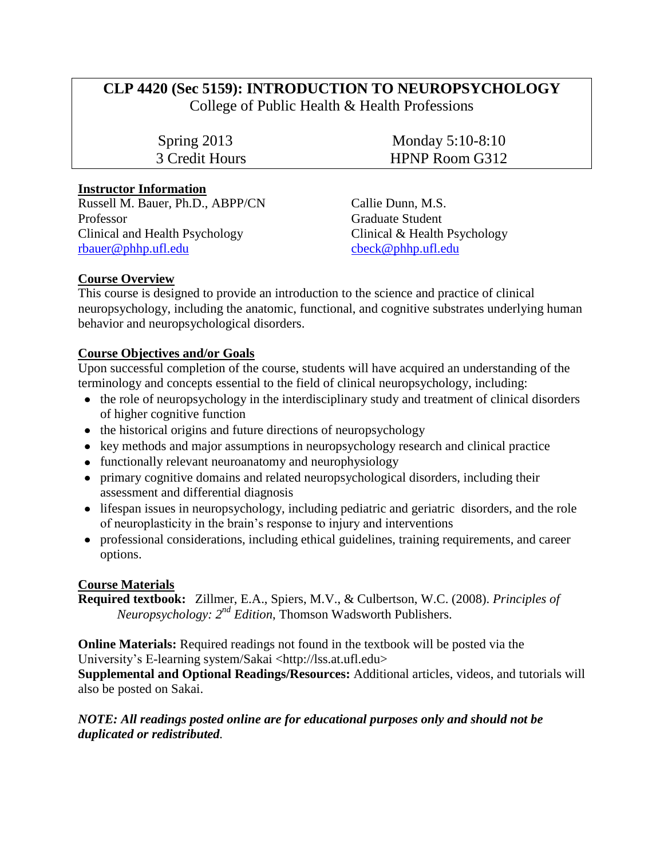# **CLP 4420 (Sec 5159): INTRODUCTION TO NEUROPSYCHOLOGY**

College of Public Health & Health Professions

Spring 2013 Monday 5:10-8:10 3 Credit Hours HPNP Room G312

# **Instructor Information**

Russell M. Bauer, Ph.D., ABPP/CN Callie Dunn, M.S. Professor Graduate Student Clinical and Health Psychology Clinical & Health Psychology [rbauer@phhp.ufl.edu](mailto:rbauer@phhp.ufl.edu) [cbeck@phhp.ufl.edu](mailto:cbeck@phhp.ufl.edu)

# **Course Overview**

This course is designed to provide an introduction to the science and practice of clinical neuropsychology, including the anatomic, functional, and cognitive substrates underlying human behavior and neuropsychological disorders.

# **Course Objectives and/or Goals**

Upon successful completion of the course, students will have acquired an understanding of the terminology and concepts essential to the field of clinical neuropsychology, including:

- the role of neuropsychology in the interdisciplinary study and treatment of clinical disorders of higher cognitive function
- the historical origins and future directions of neuropsychology
- key methods and major assumptions in neuropsychology research and clinical practice
- functionally relevant neuroanatomy and neurophysiology
- primary cognitive domains and related neuropsychological disorders, including their assessment and differential diagnosis
- lifespan issues in neuropsychology, including pediatric and geriatric disorders, and the role of neuroplasticity in the brain's response to injury and interventions
- professional considerations, including ethical guidelines, training requirements, and career options.

# **Course Materials**

**Required textbook:** Zillmer, E.A., Spiers, M.V., & Culbertson, W.C. (2008). *Principles of Neuropsychology: 2 nd Edition*, Thomson Wadsworth Publishers.

**Online Materials:** Required readings not found in the textbook will be posted via the University's E-learning system/Sakai <http://lss.at.ufl.edu>

**Supplemental and Optional Readings/Resources:** Additional articles, videos, and tutorials will also be posted on Sakai.

# *NOTE: All readings posted online are for educational purposes only and should not be duplicated or redistributed.*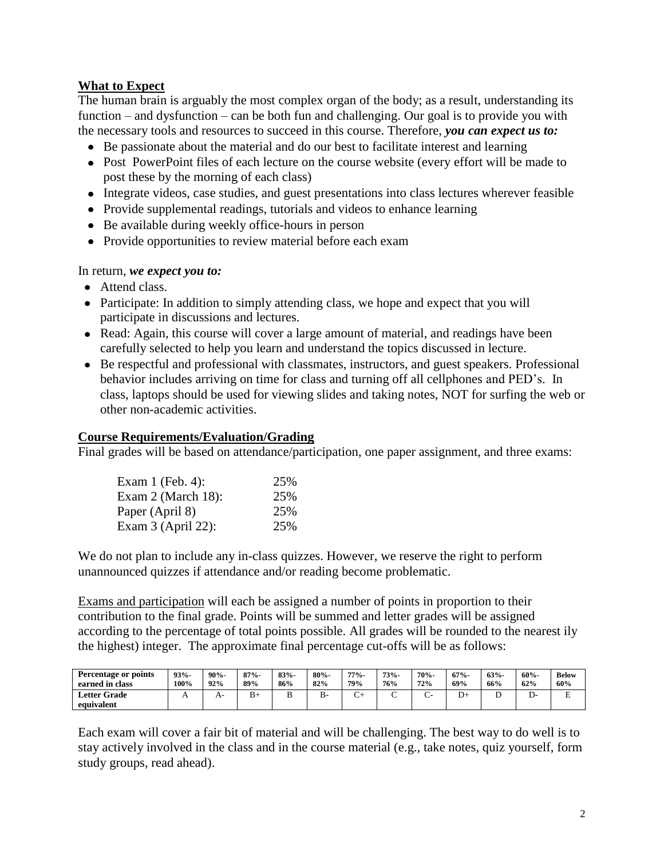# **What to Expect**

The human brain is arguably the most complex organ of the body; as a result, understanding its function – and dysfunction – can be both fun and challenging. Our goal is to provide you with the necessary tools and resources to succeed in this course. Therefore, *you can expect us to:*

- Be passionate about the material and do our best to facilitate interest and learning
- Post PowerPoint files of each lecture on the course website (every effort will be made to post these by the morning of each class)
- Integrate videos, case studies, and guest presentations into class lectures wherever feasible
- Provide supplemental readings, tutorials and videos to enhance learning
- Be available during weekly office-hours in person
- Provide opportunities to review material before each exam

#### In return, *we expect you to:*

- Attend class.
- Participate: In addition to simply attending class, we hope and expect that you will participate in discussions and lectures.
- Read: Again, this course will cover a large amount of material, and readings have been carefully selected to help you learn and understand the topics discussed in lecture.
- Be respectful and professional with classmates, instructors, and guest speakers. Professional behavior includes arriving on time for class and turning off all cellphones and PED's. In class, laptops should be used for viewing slides and taking notes, NOT for surfing the web or other non-academic activities.

#### **Course Requirements/Evaluation/Grading**

Final grades will be based on attendance/participation, one paper assignment, and three exams:

| Exam $1$ (Feb. 4):   | 25% |
|----------------------|-----|
| Exam $2$ (March 18): | 25% |
| Paper (April 8)      | 25% |
| Exam $3$ (April 22): | 25% |

We do not plan to include any in-class quizzes. However, we reserve the right to perform unannounced quizzes if attendance and/or reading become problematic.

Exams and participation will each be assigned a number of points in proportion to their contribution to the final grade. Points will be summed and letter grades will be assigned according to the percentage of total points possible. All grades will be rounded to the nearest ily the highest) integer. The approximate final percentage cut-offs will be as follows:

| Percentage or points<br>earned in class | $93% -$<br>100% | $90% -$<br>92% | $87% -$<br>89% | $83% -$<br>86% | $80% -$<br>82% | $77% -$<br>79%             | $73% -$<br>76% | $70% -$<br>72% | $67% -$<br>69%                | $63% -$<br>66% | $60% -$<br>62% | <b>Below</b><br>60%           |
|-----------------------------------------|-----------------|----------------|----------------|----------------|----------------|----------------------------|----------------|----------------|-------------------------------|----------------|----------------|-------------------------------|
| <b>Letter Grade</b>                     | $\overline{1}$  | $A^-$          | D+             |                | В-             | $\tilde{\phantom{0}}$<br>◡ |                | ั              | $\overline{\phantom{a}}$<br>້ | ∸              | יע             | $\overline{\phantom{a}}$<br>∸ |
| equivalent                              |                 |                |                |                |                |                            |                |                |                               |                |                |                               |

Each exam will cover a fair bit of material and will be challenging. The best way to do well is to stay actively involved in the class and in the course material (e.g., take notes, quiz yourself, form study groups, read ahead).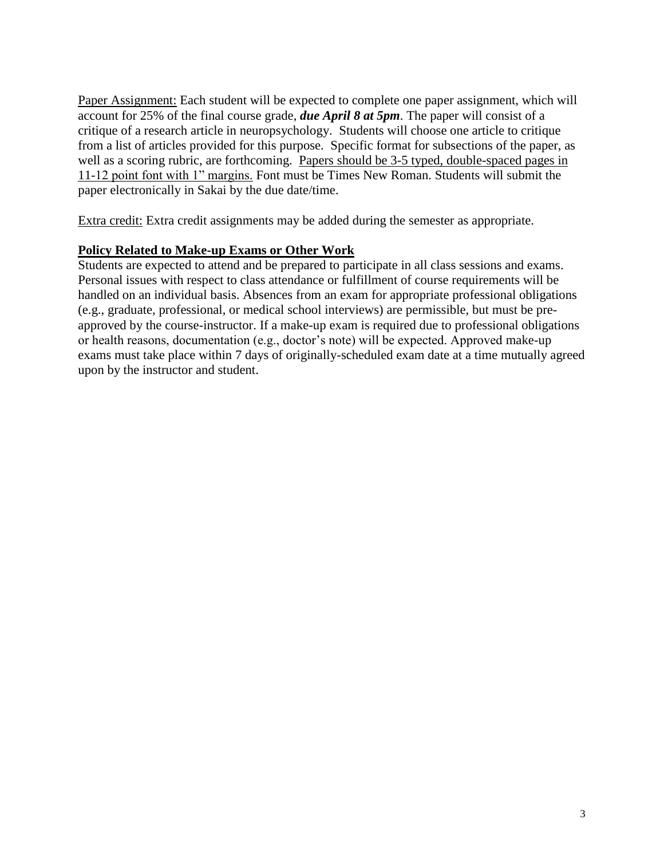Paper Assignment: Each student will be expected to complete one paper assignment, which will account for 25% of the final course grade, *due April 8 at 5pm*. The paper will consist of a critique of a research article in neuropsychology. Students will choose one article to critique from a list of articles provided for this purpose. Specific format for subsections of the paper, as well as a scoring rubric, are forthcoming. Papers should be 3-5 typed, double-spaced pages in 11-12 point font with 1" margins. Font must be Times New Roman. Students will submit the paper electronically in Sakai by the due date/time.

Extra credit: Extra credit assignments may be added during the semester as appropriate.

# **Policy Related to Make-up Exams or Other Work**

Students are expected to attend and be prepared to participate in all class sessions and exams. Personal issues with respect to class attendance or fulfillment of course requirements will be handled on an individual basis. Absences from an exam for appropriate professional obligations (e.g., graduate, professional, or medical school interviews) are permissible, but must be preapproved by the course-instructor. If a make-up exam is required due to professional obligations or health reasons, documentation (e.g., doctor's note) will be expected. Approved make-up exams must take place within 7 days of originally-scheduled exam date at a time mutually agreed upon by the instructor and student.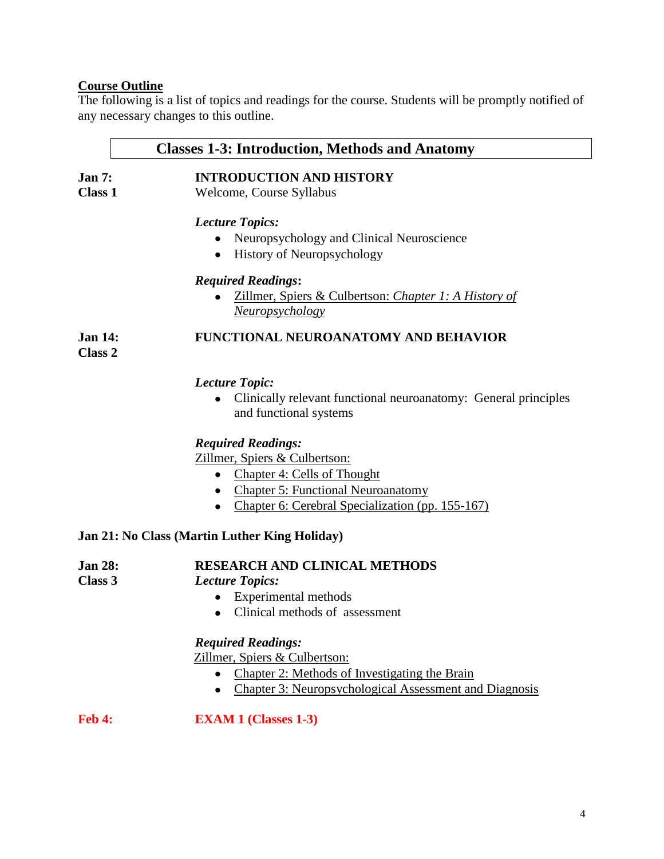## **Course Outline**

The following is a list of topics and readings for the course. Students will be promptly notified of any necessary changes to this outline.

# **Classes 1-3: Introduction, Methods and Anatomy**

# **Jan 7: INTRODUCTION AND HISTORY**

**Class 1** Welcome, Course Syllabus

#### *Lecture Topics:*

- Neuropsychology and Clinical Neuroscience
- History of Neuropsychology

#### *Required Readings***:**

Zillmer, Spiers & Culbertson: *Chapter 1: A History of Neuropsychology*

# **Jan 14: FUNCTIONAL NEUROANATOMY AND BEHAVIOR**

**Class 2**

# *Lecture Topic:*

Clinically relevant functional neuroanatomy: General principles  $\bullet$ and functional systems

# *Required Readings:*

Zillmer, Spiers & Culbertson:

- Chapter 4: Cells of Thought
- Chapter 5: Functional Neuroanatomy
- Chapter 6: Cerebral Specialization (pp. 155-167)

#### **Jan 21: No Class (Martin Luther King Holiday)**

#### **Jan 28: RESEARCH AND CLINICAL METHODS**

**Class 3** *Lecture Topics:*

- Experimental methods
- Clinical methods of assessment

# *Required Readings:*

Zillmer, Spiers & Culbertson:

- Chapter 2: Methods of Investigating the Brain
- Chapter 3: Neuropsychological Assessment and Diagnosis

**Feb 4: EXAM 1 (Classes 1-3)**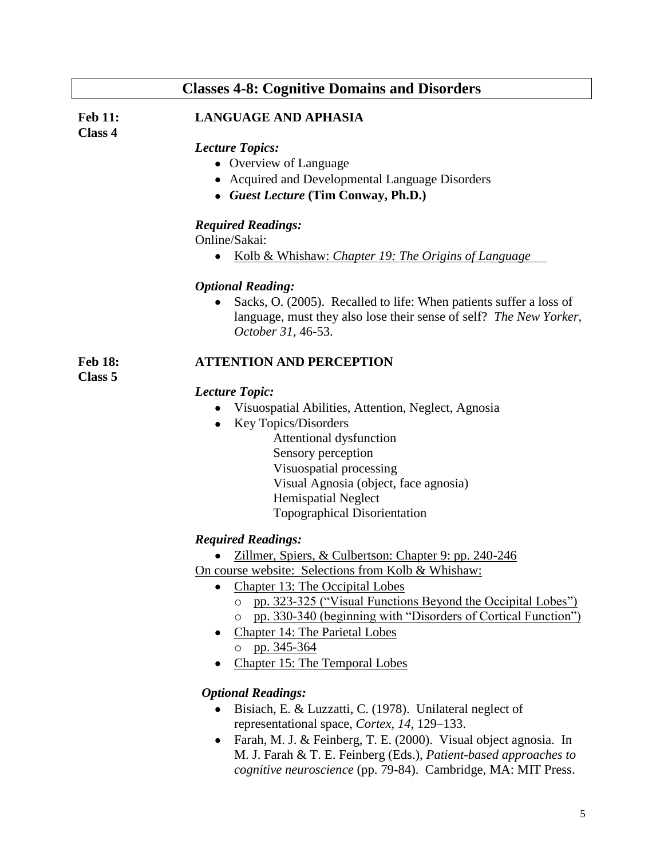# **Classes 4-8: Cognitive Domains and Disorders**

**Class 4**

**Class 5**

#### **Feb 11: LANGUAGE AND APHASIA**

*Lecture Topics:*

- Overview of Language
- Acquired and Developmental Language Disorders
- *Guest Lecture* **(Tim Conway, Ph.D.)**

#### *Required Readings:*

Online/Sakai:

Kolb & Whishaw: *Chapter 19: The Origins of Language*  $\bullet$ 

#### *Optional Reading:*

• Sacks, O. (2005). Recalled to life: When patients suffer a loss of language, must they also lose their sense of self? *The New Yorker, October 31,* 46-53.

#### **Feb 18: ATTENTION AND PERCEPTION**

*Lecture Topic:*

- Visuospatial Abilities, Attention, Neglect, Agnosia
- Key Topics/Disorders
	- Attentional dysfunction Sensory perception Visuospatial processing Visual Agnosia (object, face agnosia) Hemispatial Neglect Topographical Disorientation

#### *Required Readings:*

- Zillmer, Spiers, & Culbertson: Chapter 9: pp. 240-246  $\bullet$
- On course website: Selections from Kolb & Whishaw:
	- Chapter 13: The Occipital Lobes
		- o pp. 323-325 ("Visual Functions Beyond the Occipital Lobes")
		- o pp. 330-340 (beginning with "Disorders of Cortical Function")
	- Chapter 14: The Parietal Lobes o pp. 345-364
	- Chapter 15: The Temporal Lobes

#### *Optional Readings:*

- Bisiach, E. & Luzzatti, C. (1978). Unilateral neglect of representational space, *Cortex, 14*, 129–133.
- Farah, M. J. & Feinberg, T. E. (2000). Visual object agnosia. In M. J. Farah & T. E. Feinberg (Eds.), *Patient-based approaches to cognitive neuroscience* (pp. 79-84). Cambridge, MA: MIT Press.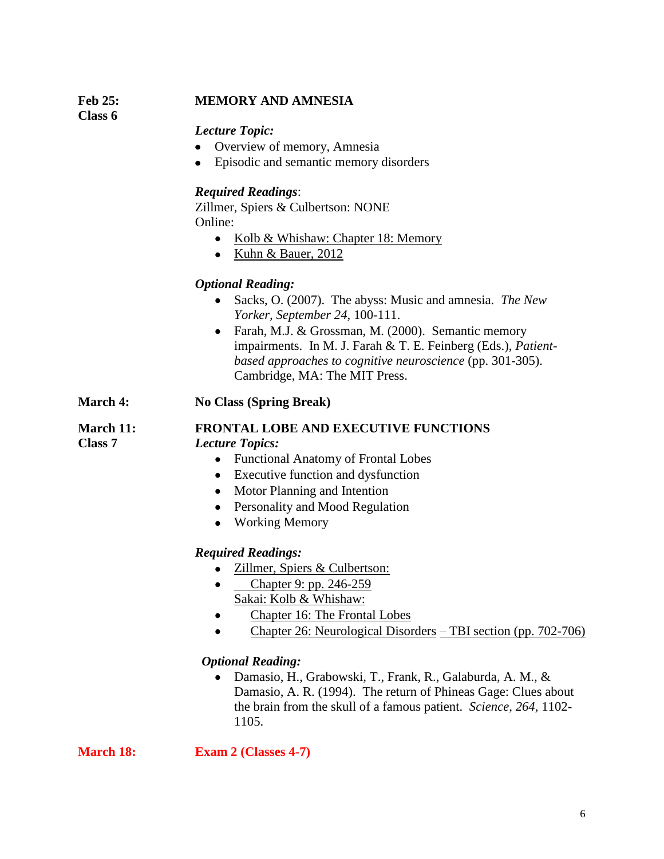# **Feb 25: MEMORY AND AMNESIA**

**Class 6**

#### *Lecture Topic:*

- Overview of memory, Amnesia
- Episodic and semantic memory disorders

## *Required Readings*:

Zillmer, Spiers & Culbertson: NONE Online:

- Kolb & Whishaw: Chapter 18: Memory
- $\bullet$  Kuhn & Bauer, 2012

# *Optional Reading:*

- Sacks, O. (2007). The abyss: Music and amnesia. *The New Yorker, September 24,* 100-111.
- Farah, M.J. & Grossman, M. (2000). Semantic memory impairments. In M. J. Farah & T. E. Feinberg (Eds.), *Patientbased approaches to cognitive neuroscience* (pp. 301-305). Cambridge, MA: The MIT Press.
- **March 4: No Class (Spring Break)**

**March 11: FRONTAL LOBE AND EXECUTIVE FUNCTIONS Class 7** *Lecture Topics:*

- Functional Anatomy of Frontal Lobes
- Executive function and dysfunction
- Motor Planning and Intention
- Personality and Mood Regulation
- Working Memory

# *Required Readings:*

- $\bullet$ Zillmer, Spiers & Culbertson:
- Chapter 9: pp. 246-259  $\bullet$ Sakai: Kolb & Whishaw:
- Chapter 16: The Frontal Lobes  $\bullet$
- Chapter 26: Neurological Disorders TBI section (pp. 702-706)  $\bullet$

# *Optional Reading:*

Damasio, H., Grabowski, T., Frank, R., Galaburda, A. M., & Damasio, A. R. (1994). The return of Phineas Gage: Clues about the brain from the skull of a famous patient. *Science, 264,* 1102- 1105.

**March 18: Exam 2 (Classes 4-7)**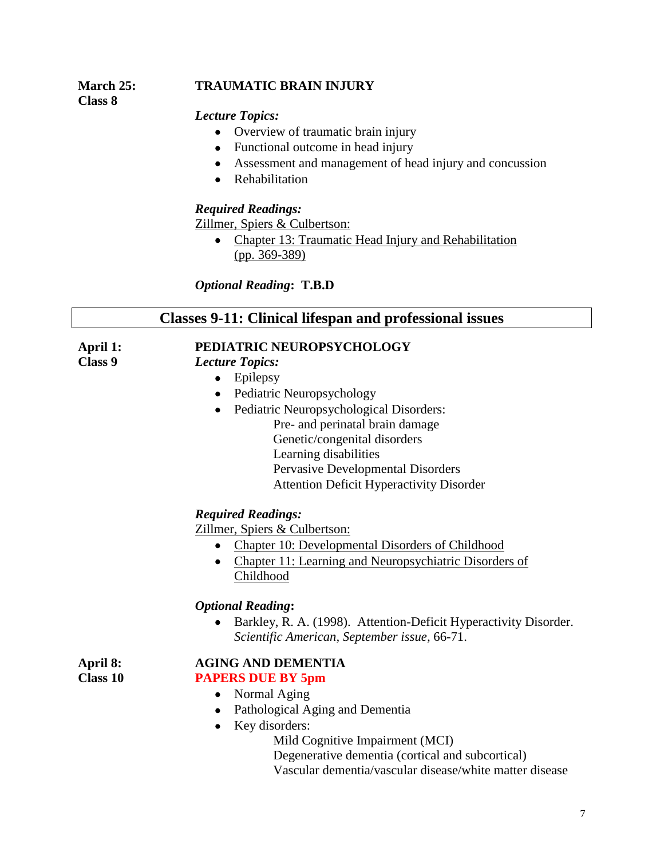# **March 25: TRAUMATIC BRAIN INJURY**

## *Lecture Topics:*

- Overview of traumatic brain injury
- Functional outcome in head injury
- Assessment and management of head injury and concussion
- Rehabilitation

# *Required Readings:*

Zillmer, Spiers & Culbertson:

• Chapter 13: Traumatic Head Injury and Rehabilitation  $(pp. 369-389)$ 

*Optional Reading***: T.B.D**

# **Classes 9-11: Clinical lifespan and professional issues**

**Class 9** *Lecture Topics:*

**Class 8**

## **April 1: PEDIATRIC NEUROPSYCHOLOGY**

- Epilepsy
- Pediatric Neuropsychology
- Pediatric Neuropsychological Disorders: Pre- and perinatal brain damage Genetic/congenital disorders Learning disabilities Pervasive Developmental Disorders Attention Deficit Hyperactivity Disorder

# *Required Readings:*

Zillmer, Spiers & Culbertson:

- Chapter 10: Developmental Disorders of Childhood
- Chapter 11: Learning and Neuropsychiatric Disorders of Childhood

# *Optional Reading***:**

• Barkley, R. A. (1998). Attention-Deficit Hyperactivity Disorder. *Scientific American, September issue,* 66-71.

# **April 8: AGING AND DEMENTIA**

- **Class 10 PAPERS DUE BY 5pm**
	- Normal Aging
	- Pathological Aging and Dementia
	- Key disorders:

Mild Cognitive Impairment (MCI)

Degenerative dementia (cortical and subcortical) Vascular dementia/vascular disease/white matter disease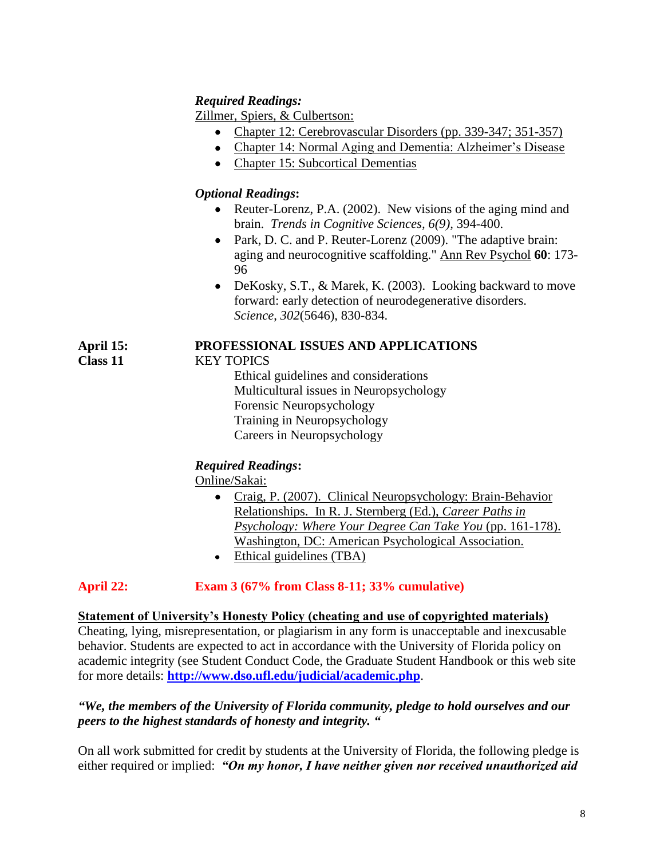# *Required Readings:*

Zillmer, Spiers, & Culbertson:

- Chapter 12: Cerebrovascular Disorders (pp. 339-347; 351-357)
- Chapter 14: Normal Aging and Dementia: Alzheimer's Disease
- Chapter 15: Subcortical Dementias

# *Optional Readings***:**

- Reuter-Lorenz, P.A. (2002). New visions of the aging mind and brain. *Trends in Cognitive Sciences, 6(9),* 394-400.
- Park, D. C. and P. Reuter-Lorenz (2009). "The adaptive brain: aging and neurocognitive scaffolding." Ann Rev Psychol **60**: 173- 96
- DeKosky, S.T., & Marek, K. (2003). Looking backward to move forward: early detection of neurodegenerative disorders. *Science*, *302*(5646), 830-834.

# **April 15: PROFESSIONAL ISSUES AND APPLICATIONS**

# **Class 11** KEY TOPICS

Ethical guidelines and considerations Multicultural issues in Neuropsychology Forensic Neuropsychology Training in Neuropsychology Careers in Neuropsychology

# *Required Readings***:**

Online/Sakai:

- Craig, P. (2007). Clinical Neuropsychology: Brain-Behavior Relationships. In R. J. Sternberg (Ed.), *Career Paths in Psychology: Where Your Degree Can Take You* (pp. 161-178). Washington, DC: American Psychological Association.
- Ethical guidelines (TBA)

# **April 22: Exam 3 (67% from Class 8-11; 33% cumulative)**

# **Statement of University's Honesty Policy (cheating and use of copyrighted materials)**

Cheating, lying, misrepresentation, or plagiarism in any form is unacceptable and inexcusable behavior. Students are expected to act in accordance with the University of Florida policy on academic integrity (see Student Conduct Code, the Graduate Student Handbook or this web site for more details: **<http://www.dso.ufl.edu/judicial/academic.php>**.

# *"We, the members of the University of Florida community, pledge to hold ourselves and our peers to the highest standards of honesty and integrity. "*

On all work submitted for credit by students at the University of Florida, the following pledge is either required or implied: *"On my honor, I have neither given nor received unauthorized aid*